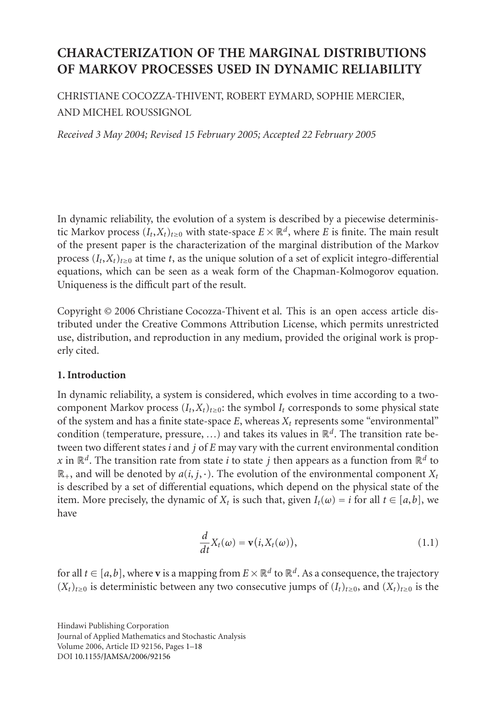# **CHARACTERIZATION OF THE MARGINAL DISTRIBUTIONS OF MARKOV PROCESSES USED IN DYNAMIC RELIABILITY**

CHRISTIANE COCOZZA-THIVENT, ROBERT EYMARD, SOPHIE MERCIER, AND MICHEL ROUSSIGNOL

*Received 3 May 2004; Revised 15 February 2005; Accepted 22 February 2005*

<span id="page-0-0"></span>In dynamic reliability, the evolution of a system is described by a piecewise deterministic Markov process  $(I_t, X_t)_{t>0}$  with state-space  $E \times \mathbb{R}^d$ , where *E* is finite. The main result of the present paper is the characterization of the marginal distribution of the Markov process  $(I_t, X_t)_{t>0}$  at time *t*, as the unique solution of a set of explicit integro-differential equations, which can be seen as a weak form of the Chapman-Kolmogorov equation. Uniqueness is the difficult part of the result.

Copyright © 2006 Christiane Cocozza-Thivent et al. This is an open access article distributed under the Creative Commons Attribution License, which permits unrestricted use, distribution, and reproduction in any medium, provided the original work is properly cited.

### **1. Introduction**

In dynamic reliability, a system is considered, which evolves in time according to a twocomponent Markov process  $(I_t, X_t)_{t \geq 0}$ : the symbol  $I_t$  corresponds to some physical state of the system and has a finite state-space  $E$ , whereas  $X_t$  represents some "environmental" condition (temperature, pressure, *...*) and takes its values in R*d*. The transition rate between two different states *i* and *j* of *E* may vary with the current environmental condition *x* in  $\mathbb{R}^d$ . The transition rate from state *i* to state *j* then appears as a function from  $\mathbb{R}^d$  to  $\mathbb{R}_+$ , and will be denoted by  $a(i, j, \cdot)$ . The evolution of the environmental component  $X_t$ is described by a set of differential equations, which depend on the physical state of the item. More precisely, the dynamic of  $X_t$  is such that, given  $I_t(\omega) = i$  for all  $t \in [a, b]$ , we have

$$
\frac{d}{dt}X_t(\omega) = \mathbf{v}(i, X_t(\omega)),
$$
\n(1.1)

for all  $t \in [a, b]$ , where **v** is a mapping from  $E \times \mathbb{R}^d$  to  $\mathbb{R}^d$ . As a consequence, the trajectory  $(X_t)_{t\geq0}$  is deterministic between any two consecutive jumps of  $(I_t)_{t\geq0}$ , and  $(X_t)_{t\geq0}$  is the

Hindawi Publishing Corporation Journal of Applied Mathematics and Stochastic Analysis Volume 2006, Article ID 92156, Pages 1–18 DOI 10.1155/JAMSA/2006/92156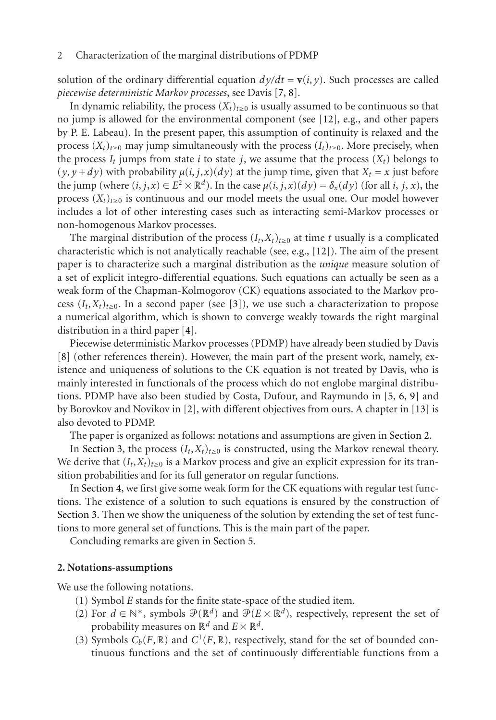solution of the ordinary differential equation  $dy/dt = v(i, y)$ . Such processes are called *piecewise deterministic Markov processes*, see Davis [7, 8].

In dynamic reliability, the process  $(X_t)_{t\geq0}$  is usually assumed to be continuous so that no jump is allowed for the environmental component (see [12], e.g., and other papers by P. E. Labeau). In the present paper, this assumption of [con](#page-17-0)tinuity is relaxed and the process  $(X_t)_{t\geq0}$  may jump simultaneously with the process  $(I_t)_{t\geq0}$ . More precisely, when the process  $I_t$  jumps from state *i* to state *j*, we assume that the process  $(X_t)$  belongs to  $(y, y + dy)$  with probability  $\mu(i, j, x)(dy)$  at the jump time, given that  $X_t = x$  just before t[he](#page-16-1) jump (where  $(i, j, x) \in E^2 \times \mathbb{R}^d$ ). In the case  $\mu(i, j, x)(dy) = \delta_x(dy)$  (for all *i*, *j*, *x*), the process  $(X_t)_{t\geq0}$  is continuous and our model meets the usual one. Our model however includes a lot of other inter[est](#page-16-2)ing cases such as interacting semi-Markov processes or non-homogenous Markov processes.

The marginal distribution of the process  $(I_t, X_t)_{t\geq0}$  at time *t* usually is a complicated characteristic which is not analytically reachable (see, e.g., [12]). The aim of the present paper is to characterize such a marginal distribution as the *unique* measure solution of a set of explicit integro-differential equations. Such equations can actually [be](#page-17-1) [s](#page-17-2)e[en](#page-17-3) as a weak form of the Chapman-[Ko](#page-16-3)lmogorov (CK) equations associated to the Marko[v pr](#page-17-4)ocess  $(I_t, X_t)_{t \geq 0}$ . In a second paper (see [3]), we use such a characterization to propose a numerical algorithm, which is shown to converge weakly towards the rig[ht margin](#page-1-0)al distri[bution in a](#page-3-0) third paper [4].

Piecewise deterministic Markov processes (PDMP) have already been studied by Davis [8] (other references therein). However, the main part of the present work, namely, existen[ce and uni](#page-6-0)queness of solutions to the CK equation is not treated by Davis, who is mainly interested in functionals of the process which do not englobe marginal distribu[tions. PD](#page-3-0)MP have also been studied by Costa, Dufour, and Raymundo in [5, 6, 9] and by Borovkov and Novikov in [2], with different objectives from ours. A chapter in [13] is also devoted to PDMP.

The paper is organized as follows: notations and assumptions are given in Section 2.

<span id="page-1-0"></span>In Section 3, the process  $(I_t, X_t)_{t \geq 0}$  is constructed, using the Markov renewal theory. We derive that  $(I_t, X_t)_{t \geq 0}$  is a Markov process and give an explicit expression for its transition probabilities and for its full generator on regular functions.

In Section 4, we first give some weak form for the CK equations with regular test functions. The existence of a solution to such equations is ensured by the construction of Section 3. Then we show the uniqueness of the solution by extending the set of test functions to more general set of functions. This is the main part of the paper.

Concluding remarks are given in Section 5.

#### **2. Notations-assumptions**

We use the following notations.

- (1) Symbol *E* stands for the finite state-space of the studied item.
- (2) For  $d \in \mathbb{N}^*$ , symbols  $\mathcal{P}(\mathbb{R}^d)$  and  $\mathcal{P}(E \times \mathbb{R}^d)$ , respectively, represent the set of probability measures on  $\mathbb{R}^d$  and  $E \times \mathbb{R}^d$ .
- (3) Symbols  $C_b(F, \mathbb{R})$  and  $C^1(F, \mathbb{R})$ , respectively, stand for the set of bounded continuous functions and the set of continuously differentiable functions from a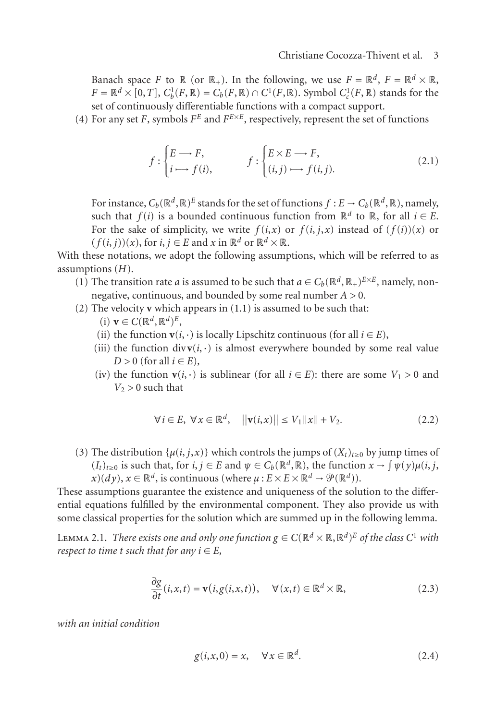Banach space *F* to  $\mathbb{R}$  (or  $\mathbb{R}_+$ ). In the following, we use  $F = \mathbb{R}^d$ ,  $F = \mathbb{R}^d \times \mathbb{R}$ ,  $F = \mathbb{R}^d \times [0, T]$ ,  $C_b^1(F, \mathbb{R}) = C_b(F, \mathbb{R}) \cap C^1(F, \mathbb{R})$ . Symbol  $C_c^1(F, \mathbb{R})$  stands for the set of continuously differentiable functions with a compact support.

(4) For any set *F*, symbols  $F^E$  and  $F^{E \times E}$ , respectively, represent the set of functions

$$
f: \begin{cases} E \longrightarrow F, \\ i \longmapsto f(i), \end{cases} \qquad f: \begin{cases} E \times E \longrightarrow F, \\ (i,j) \longmapsto f(i,j). \end{cases} \tag{2.1}
$$

For instance,  $C_b(\mathbb{R}^d,\mathbb{R})^E$  stands for the set of functions  $f : E \to C_b(\mathbb{R}^d,\mathbb{R})$ , namely, such that *f*(*i*) is a bounded continuous function from  $\mathbb{R}^d$  to  $\mathbb{R}$ , for all *i* ∈ *E*. For the sake of simplicity, we write  $f(i, x)$  or  $f(i, j, x)$  instead of  $(f(i))(x)$  or  $(f(i, j))(x)$ , for  $i, j \in E$  and  $x$  in  $\mathbb{R}^d$  or  $\mathbb{R}^d \times \mathbb{R}$ .

With these notations, we adopt the following assumptions, which will be referred to as assumptions (*H*).

- (1) The transition rate *a* is assumed to be such that  $a \in C_b(\mathbb{R}^d, \mathbb{R}_+)^{E \times E}$ , namely, nonnegative, continuous, and bounded by some real number *A >* 0.
- (2) The velocity **v** which appears in (1.1) is assumed to be such that:
	- $(i)$   $\mathbf{v} \in C(\mathbb{R}^d, \mathbb{R}^d)^E$ ,
	- (ii) the function **v**( $i$ , ·) is locally Lipschitz continuous (for all  $i \in E$ ),
	- (iii) the function div $\mathbf{v}(i, \cdot)$  is almost everywhere bounded by some real value  $D > 0$  (for all  $i \in E$ ),
	- (iv) the function **v**(*i*,·) is sublinear (for all  $i \in E$ ): there are some  $V_1 > 0$  and  $V_2 > 0$  such that

$$
\forall i \in E, \ \forall x \in \mathbb{R}^d, \quad \left\| \mathbf{v}(i, x) \right\| \le V_1 \left\| x \right\| + V_2. \tag{2.2}
$$

<span id="page-2-0"></span>(3) The distribution  $\{\mu(i, j, x)\}$  which controls the jumps of  $(X_t)_{t\geq0}$  by jump times of  $(L_t)_{t\geq0}$  is such that, for  $i, j \in E$  and  $\psi \in C_b(\mathbb{R}^d, \mathbb{R})$ , the function  $x \to \int \psi(y) \mu(i, j, j)$  $f(x)(dy), x \in \mathbb{R}^d$ , is continuous (where  $\mu : E \times E \times \mathbb{R}^d \to \mathcal{P}(\mathbb{R}^d)$ ).

These assumptions guarantee the existence and uniqueness of the solution to the differential equations fulfilled by the environmental component. They also provide us with some classical properties for the solution which are summed up in the following lemma.

LEMMA 2.1. *There exists one and only one function*  $g \in C(\mathbb{R}^d \times \mathbb{R}, \mathbb{R}^d)^E$  *of the class*  $C^1$  *with respect to time t such that for any*  $i \in E$ *,* 

$$
\frac{\partial g}{\partial t}(i, x, t) = \mathbf{v}(i, g(i, x, t)), \quad \forall (x, t) \in \mathbb{R}^d \times \mathbb{R},
$$
\n(2.3)

*with an initial condition*

$$
g(i, x, 0) = x, \quad \forall x \in \mathbb{R}^d.
$$
 (2.4)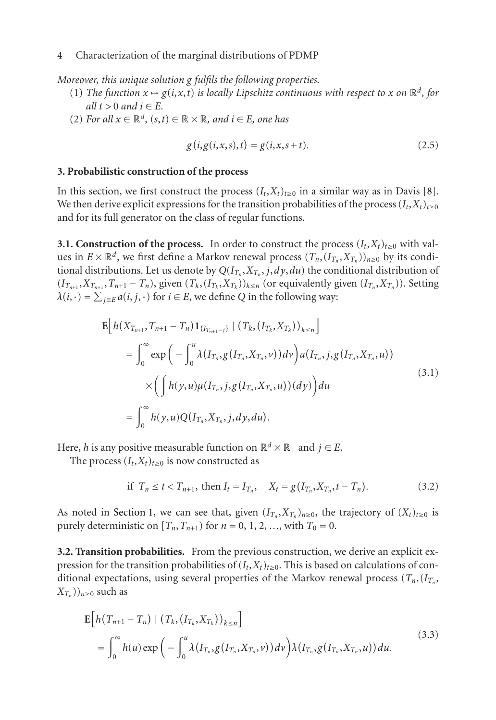<span id="page-3-0"></span>*Moreover, this unique solution g fulfils the following properties.*

- (1) *The function*  $x \mapsto g(i, x, t)$  *is locally Lipschitz continuous with respect to*  $x$  *on*  $\mathbb{R}^d$ *, for all*  $t > 0$  *and*  $i \in E$ *.*
- (2) *For all*  $x \in \mathbb{R}^d$ *,*  $(s, t) \in \mathbb{R} \times \mathbb{R}$ *, and*  $i \in E$ *, one has*

$$
g(i, g(i, x, s), t) = g(i, x, s + t).
$$
 (2.5)

#### **3. Probabilistic construction of the process**

In this section, we first construct the process  $(I_t, X_t)_{t\geq0}$  in a similar way as in Davis [8]. We then derive explicit expressions for the transition probabilities of the process  $(I_t, X_t)_{t\geq0}$ and for its full generator on the class of regular functions.

**3.1. Construction of the process.** In order to construct the process  $(I_t, X_t)_{t\geq0}$  with values in  $E \times \mathbb{R}^d$ , we first define a Markov renewal process  $(T_n, (I_{T_n}, X_{T_n}))_{n \geq 0}$  by its conditional distributions. Let us denote by  $Q(I_{T_n}, X_{T_n}, j, dy, du)$  the conditional distribution of  $(I_{T_{n+1}}, X_{T_{n+1}}, T_{n+1} - T_n)$ , given  $(T_k, (I_{T_k}, X_{T_k}))_{k \le n}$  (or equivalently given  $(I_{T_n}, X_{T_n})$ ). Setting  $\lambda(i, \cdot) = \sum_{j \in E} a(i, j, \cdot)$  for  $i \in E$ , we define *Q* in the following way:

$$
\mathbf{E}\Big[h(X_{T_{n+1}}, T_{n+1} - T_n)\mathbf{1}_{\{I_{T_{n+1}=j}\}} | (T_k, (I_{T_k}, X_{T_k}))_{k \le n}\Big] \n= \int_0^\infty \exp\Big(-\int_0^u \lambda(I_{T_n}, g(I_{T_n}, X_{T_n}, v)) dv\Big) a(I_{T_n}, j, g(I_{T_n}, X_{T_n}, u)) \n\times \Big(\int h(y, u) \mu(I_{T_n}, j, g(I_{T_n}, X_{T_n}, u))(dy)\Big) du \n= \int_0^\infty h(y, u) Q(I_{T_n}, X_{T_n}, j, dy, du).
$$
\n(3.1)

Here, *h* is any positive measurable function on  $\mathbb{R}^d \times \mathbb{R}_+$  and  $j \in E$ .

The process  $(I_t, X_t)_{t \geq 0}$  is now constructed as

if 
$$
T_n \le t < T_{n+1}
$$
, then  $I_t = I_{T_n}$ ,  $X_t = g(I_{T_n}, X_{T_n}, t - T_n)$ . (3.2)

As noted in Section 1, we can see that, given  $(I_{T_n}, X_{T_n})_{n\geq 0}$ , the trajectory of  $(X_t)_{t\geq 0}$  is purely deterministic on  $[T_n, T_{n+1})$  for  $n = 0, 1, 2, \ldots$ , with  $T_0 = 0$ .

**3.2. Transition probabilities.** From the previous construction, we derive an explicit expression for the transition probabilities of  $(I_t, X_t)_{t \geq 0}$ . This is based on calculations of conditional expectations, using several properties of the Markov renewal process  $(T_n, (I_n))$  $(X_{T_n})$ <sub>*n*≥0</sub> such as

$$
\mathbf{E}\Big[h\big(T_{n+1}-T_n\big) \mid \big(T_k,\big(T_{T_k},X_{T_k}\big)\big)_{k\leq n}\Big] \n= \int_0^\infty h(u)\exp\bigg(-\int_0^u \lambda\big(I_{T_n},g\big(I_{T_n},X_{T_n},\nu\big)\big) d\nu\bigg)\lambda\big(I_{T_n},g\big(I_{T_n},X_{T_n},\nu\big)\big) du.
$$
\n(3.3)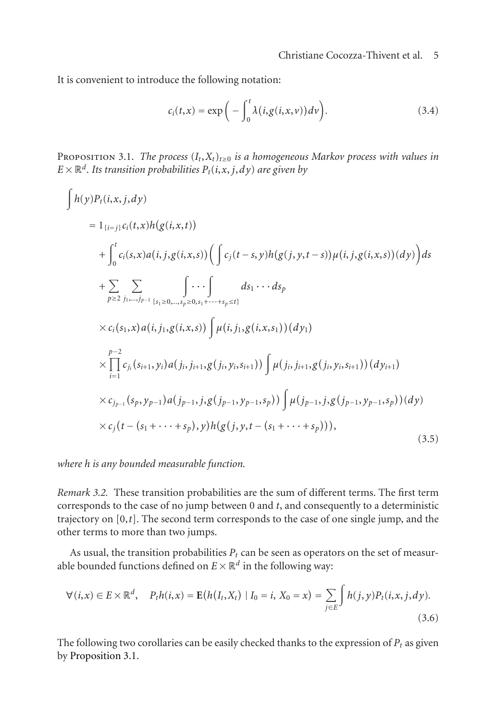<span id="page-4-0"></span>It is convenient to introduce the following notation:

 $\sqrt{ }$ 

$$
c_i(t,x) = \exp\bigg(-\int_0^t \lambda(i,g(i,x,v))dv\bigg). \tag{3.4}
$$

PROPOSITION 3.1. *The process*  $(I_t, X_t)_{t \geq 0}$  *is a homogeneous Markov process with values in*  $E \times \mathbb{R}^d$ *. Its transition probabilities*  $P_t(i, x, j, dy)$  *are given by* 

$$
h(y)P_{t}(i,x,j,dy)
$$
\n
$$
= 1_{\{i=j\}}c_{i}(t,x)h(g(i,x,t))
$$
\n
$$
+ \int_{0}^{t} c_{i}(s,x)a(i,j,g(i,x,s)) \left( \int c_{j}(t-s,y)h(g(j,y,t-s))\mu(i,j,g(i,x,s))(dy) \right) ds
$$
\n
$$
+ \sum_{p \ge 2} \sum_{j_{1},\dots,j_{p-1}} \int \cdots \int_{\{s_{1} \ge 0,\dots,s_{p} \ge 0,s_{1}+\cdots+s_{p} \le t\}} ds_{1} \cdots ds_{p}
$$
\n
$$
\times c_{i}(s_{1},x)a(i,j_{1},g(i,x,s)) \int \mu(i,j_{1},g(i,x,s_{1}))(dy_{1})
$$
\n
$$
\times \prod_{i=1}^{p-2} c_{j_{i}}(s_{i+1},y_{i})a(j_{i},j_{i+1},g(j_{i},y_{i},s_{i+1})) \int \mu(j_{i},j_{i+1},g(j_{i},y_{i},s_{i+1}))(dy_{i+1})
$$
\n
$$
\times c_{j_{p-1}}(s_{p},y_{p-1})a(j_{p-1},j,g(j_{p-1},y_{p-1},s_{p})) \int \mu(j_{p-1},j,g(j_{p-1},y_{p-1},s_{p}))(dy)
$$
\n
$$
\times c_{j}(t-(s_{1}+\cdots+s_{p}),y)h(g(j,y,t-(s_{1}+\cdots+s_{p}))), \qquad (3.5)
$$

*where h is any bounded measurable function.*

*Remark 3.2.* These transition probabilities are the sum of different terms. The first term corresponds to the case of no jump between 0 and *t*, and consequently to a deterministic trajectory on [0,*t*]. The second term corresponds to the case of one single jump, and the ot[her terms to mor](#page-4-0)e than two jumps.

As usual, the transition probabilities  $P_t$  can be seen as operators on the set of measurable bounded functions defined on  $E \times \mathbb{R}^d$  in the following way:

$$
\forall (i,x) \in E \times \mathbb{R}^d, \quad P_t h(i,x) = \mathbf{E}(h(I_t, X_t) \mid I_0 = i, X_0 = x) = \sum_{j \in E} \int h(j,y) P_t(i,x,j,dy).
$$
\n(3.6)

The following two corollaries can be easily checked thanks to the expression of  $P_t$  as given by Proposition 3.1.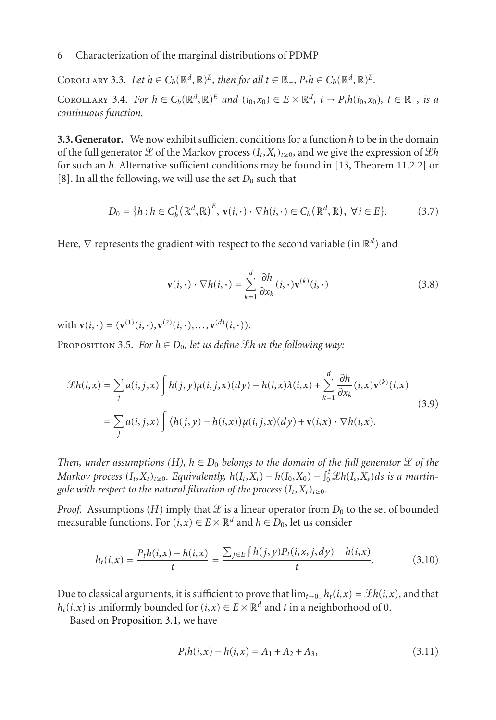COROLLARY 3.3. Let  $h \in C_b(\mathbb{R}^d, \mathbb{R})^E$ , then for all  $t \in \mathbb{R}_+$ ,  $P_t h \in C_b(\mathbb{R}^d, \mathbb{R})^E$ . COROLLARY 3.4. *For*  $h \in C_b(\mathbb{R}^d, \mathbb{R})^E$  *and*  $(i_0, x_0) \in E \times \mathbb{R}^d$ ,  $t \to P_t h(i_0, x_0)$ ,  $t \in \mathbb{R}_+$ , is a *continuous function.*

**3.3. Generator.** We now exhibit sufficient conditions for a function *h* to be in the domain of the full generator  $\mathcal L$  of the Markov process  $(I_t, X_t)_{t\geq0}$ , and we give the expression of  $\mathcal L h$ for such an *h*. Alternative sufficient conditions may be found in [13, Theorem 11.2.2] or [8]. In all the following, we will use the set  $D_0$  such that

$$
D_0 = \{h : h \in C_b^1(\mathbb{R}^d, \mathbb{R})^E, \mathbf{v}(i, \cdot) \cdot \nabla h(i, \cdot) \in C_b(\mathbb{R}^d, \mathbb{R}), \ \forall i \in E\}.
$$
 (3.7)

<span id="page-5-0"></span>Here,  $\nabla$  represents the gradient with respect to the second variable (in ℝ<sup>d</sup>) and

$$
\mathbf{v}(i,\cdot)\cdot\nabla h(i,\cdot) = \sum_{k=1}^{d} \frac{\partial h}{\partial x_k}(i,\cdot)\mathbf{v}^{(k)}(i,\cdot)
$$
 (3.8)

with  $\mathbf{v}(i, \cdot) = (\mathbf{v}^{(1)}(i, \cdot), \mathbf{v}^{(2)}(i, \cdot), \dots, \mathbf{v}^{(d)}(i, \cdot)).$ 

**PROPOSITION 3.5.** *For*  $h \in D_0$ *, let us define £h in the following way:* 

$$
\mathcal{L}h(i,x) = \sum_{j} a(i,j,x) \int h(j,y)\mu(i,j,x)(dy) - h(i,x)\lambda(i,x) + \sum_{k=1}^{d} \frac{\partial h}{\partial x_k}(i,x)\mathbf{v}^{(k)}(i,x)
$$
  
= 
$$
\sum_{j} a(i,j,x) \int (h(j,y) - h(i,x))\mu(i,j,x)(dy) + \mathbf{v}(i,x) \cdot \nabla h(i,x).
$$
 (3.9)

*Then, under assumptions (H),*  $h \in D_0$  *belongs to the domain of the full generator*  $\mathcal L$  *of the Markov process*  $(I_t, X_t)_{t \geq 0}$ *. Equivalently,*  $h(I_t, X_t) - h(I_0, X_0) - \int_0^t \mathcal{L}h(I_s, X_s) ds$  *is a martingale with respect to the natural filtration of the process*  $(I_t, X_t)_{t \geq 0}$ *.* 

*Proof.* Assu[mptions](#page-4-0) [\(](#page-4-0)*H*) imply that  $\mathcal L$  is a linear operator from  $D_0$  to the set of bounded measurable functions. For  $(i, x) \in E \times \mathbb{R}^d$  and  $h \in D_0$ , let us consider

$$
h_t(i,x) = \frac{P_t h(i,x) - h(i,x)}{t} = \frac{\sum_{j \in E} \int h(j,y) P_t(i,x,j,dy) - h(i,x)}{t}.
$$
 (3.10)

Due to classical arguments, it is sufficient to prove that  $\lim_{t\to 0_+} h_t(i,x) = \mathcal{L}h(i,x)$ , and that *h<sub>t</sub>*(*i*,*x*) is uniformly bounded for (*i*,*x*) ∈ *E* ×  $\mathbb{R}^d$  and *t* in a neighborhood of 0.

Based on Proposition 3.1, we have

$$
P_t h(i, x) - h(i, x) = A_1 + A_2 + A_3,\tag{3.11}
$$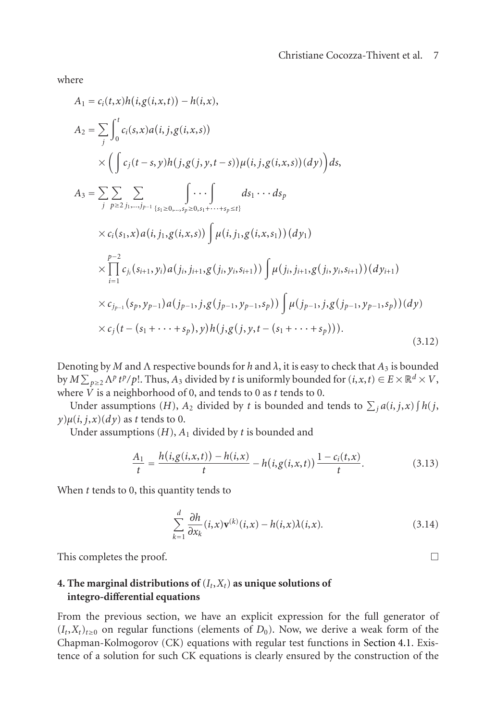$$
A_{1} = c_{i}(t,x)h(i,g(i,x,t)) - h(i,x),
$$
\n
$$
A_{2} = \sum_{j} \int_{0}^{t} c_{i}(s,x)a(i,j,g(i,x,s)) \times \left( \int c_{j}(t-s,y)h(j,g(j,y,t-s))\mu(i,j,g(i,x,s))(dy) \right) ds,
$$
\n
$$
A_{3} = \sum_{j} \sum_{p \geq 2} \sum_{j_{1},\dots,j_{p-1}} \int \cdots \int_{s_{1} \geq 0,\dots,s_{p} \geq 0,s_{1}+\cdots+s_{p} \leq t} ds_{1} \cdots ds_{p}
$$
\n
$$
\times c_{i}(s_{1},x)a(i,j_{1},g(i,x,s)) \int \mu(i,j_{1},g(i,x,s_{1}))(dy_{1})
$$
\n
$$
\times \prod_{i=1}^{p-2} c_{j_{i}}(s_{i+1},y_{i})a(j_{i},j_{i+1},g(j_{i},y_{i},s_{i+1})) \int \mu(j_{i},j_{i+1},g(j_{i},y_{i},s_{i+1}))(dy_{i+1})
$$
\n
$$
\times c_{j_{p-1}}(s_{p},y_{p-1})a(j_{p-1},j,g(j_{p-1},y_{p-1},s_{p})) \int \mu(j_{p-1},j,g(j_{p-1},y_{p-1},s_{p}))(dy)
$$
\n
$$
\times c_{j}(t-(s_{1}+\cdots+s_{p}),y)h(j,g(j,y,t-(s_{1}+\cdots+s_{p}))).
$$
\n(3.12)

Denoting by *M* and Λ respective bounds for *h* and *λ*, it is easy to check that *A*<sup>3</sup> is bounded by  $M \sum_{p\geq 2} \Lambda^p t^p/p!$ . Thus,  $A_3$  divided by *t* is uniformly bounded for  $(i, x, t) \in E \times \mathbb{R}^d \times V$ , where *V* is a neighborhood of 0, and tends to 0 as *t* tends to 0.

Under assumptions (*H*),  $A_2$  divided by *t* is bounded and tends to  $\sum_j a(i, j, x) \int h(j, x) f(j, y)$  $y$ ) $\mu(i, j, x)$ (*dy*) as *t* tends to 0.

Under assumptions (*H*), *A*<sup>1</sup> divided by *t* is bounded and

$$
\frac{A_1}{t} = \frac{h(i, g(i, x, t)) - h(i, x)}{t} - h(i, g(i, x, t)) \frac{1 - c_i(t, x)}{t}.
$$
\n(3.13)

<span id="page-6-0"></span>When *t* tends to 0, this quantity tends to

$$
\sum_{k=1}^{d} \frac{\partial h}{\partial x_k}(i, x) \mathbf{v}^{(k)}(i, x) - h(i, x) \lambda(i, x).
$$
\n(3.14)

This completes the proof.

where

 $\Box$ 

# **4. The marginal distributions of**  $(I_t, X_t)$  as unique solutions of **integro-differential equations**

From the previous section, we have an explicit expression for the full generator of  $(I_t, X_t)_{t \geq 0}$  on regular functions (elements of  $D_0$ ). Now, we derive a weak form of the Chapman-Kolmogorov (CK) equations with regular test functions in Section 4.1. Existence of a solution for such CK equations is clearly ensured by the construction of the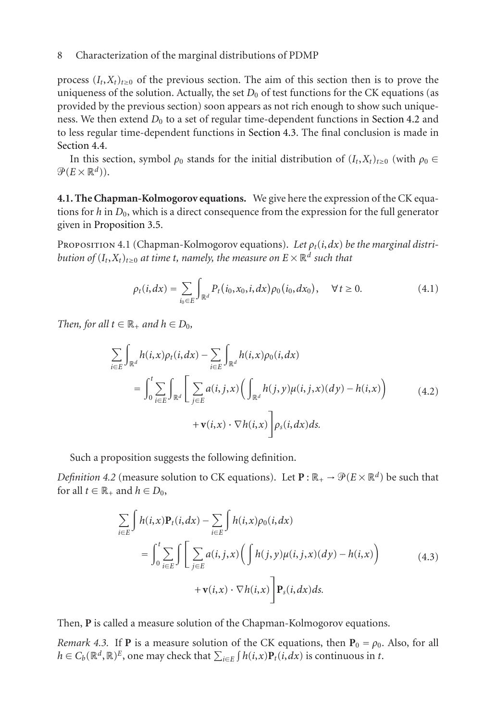process  $(I_t, X_t)_{t \geq 0}$  of the previous section. The aim of this section then is to prove the uniqueness of the solution. Actually, the set  $D_0$  of test functions for the CK equations (as provide[d by the previous](#page-5-0) section) soon appears as not rich enough to show such uniqueness. We then extend  $D_0$  to a set of regular time-dependent functions in Section 4.2 and to less regular time-dependent functions in Section 4.3. The final conclusion is made in Section 4.4.

In this section, symbol  $\rho_0$  stands for the initial distribution of  $(I_t, X_t)_{t\geq0}$  (with  $\rho_0 \in$  $\mathcal{P}(E\times\mathbb{R}^d)$ ).

**4.1. The Chapman-Kolmogorov equations.** We give here the expression of the CK equations for *h* in *D*0, which is a direct consequence from the expression for the full generator given in Proposition 3.5.

Proposition 4.1 (Chapman-Kolmogorov equations). *Let ρt*(*i*,*dx*) *be the marginal distribution of*  $(I_t, X_t)_{t \geq 0}$  *at time t, namely, the measure on*  $E \times \mathbb{R}^d$  *such that* 

$$
\rho_t(i, dx) = \sum_{i_0 \in E} \int_{\mathbb{R}^d} P_t(i_0, x_0, i, dx) \rho_0(i_0, dx_0), \quad \forall t \ge 0.
$$
 (4.1)

*Then, for all*  $t \in \mathbb{R}_+$  *and*  $h \in D_0$ *,* 

<span id="page-7-0"></span>
$$
\sum_{i\in E} \int_{\mathbb{R}^d} h(i,x)\rho_t(i,dx) - \sum_{i\in E} \int_{\mathbb{R}^d} h(i,x)\rho_0(i,dx)
$$
\n
$$
= \int_0^t \sum_{i\in E} \int_{\mathbb{R}^d} \left[ \sum_{j\in E} a(i,j,x) \left( \int_{\mathbb{R}^d} h(j,y)\mu(i,j,x)(dy) - h(i,x) \right) + \mathbf{v}(i,x) \cdot \nabla h(i,x) \right] \rho_s(i,dx)ds.
$$
\n(4.2)

Such a proposition suggests the following definition.

*Definition 4.2* (measure solution to CK equations). Let  $\mathbf{P} : \mathbb{R}_+ \to \mathcal{P}(E \times \mathbb{R}^d)$  be such that for all  $t \in \mathbb{R}_+$  and  $h \in D_0$ ,

$$
\sum_{i\in E} \int h(i,x) \mathbf{P}_t(i,dx) - \sum_{i\in E} \int h(i,x) \rho_0(i,dx)
$$
  
= 
$$
\int_0^t \sum_{i\in E} \int \left[ \sum_{j\in E} a(i,j,x) \Big( \int h(j,y) \mu(i,j,x) (dy) - h(i,x) \Big) + \mathbf{v}(i,x) \cdot \nabla h(i,x) \right] \mathbf{P}_s(i,dx) ds.
$$
 (4.3)

Then, **P** is called a measure solution of the Chapman-Kolmogorov equations.

*Remark 4.3.* If **P** is a measure solution of the CK equations, then  $P_0 = \rho_0$ . Also, for all *h* ∈ *C<sub>b</sub>*( $\mathbb{R}^d$ , $\mathbb{R}$ )<sup>E</sup>, one may check that  $\sum_{i \in E} \int h(i,x) \mathbf{P}_t(i,dx)$  is continuous in *t*.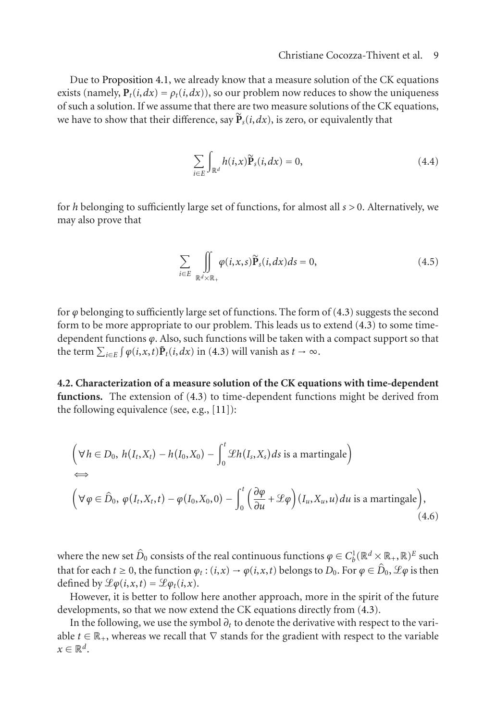Due to Proposition 4.1, we already know that a measure solution of the CK equations exists (namely,  $P_t(i, dx) = \rho_t(i, dx)$ ), so our problem now reduces to show the uniqueness of such a solution. If we assume that there are two measure solutions of the CK equations, we have to show that their difference, say  $\tilde{P}_s(i, dx)$ , is zero, or equivalently that

$$
\sum_{i \in E} \int_{\mathbb{R}^d} h(i, x) \widetilde{\mathbf{P}}_s(i, dx) = 0,
$$
\n(4.4)

for *h* belonging to sufficiently large set of functions, for almost all *s >* [0. A](#page-7-0)lternatively, we may also prove that

$$
\sum_{i \in E} \iint\limits_{\mathbb{R}^d \times \mathbb{R}_+} \varphi(i, x, s) \widetilde{\mathbf{P}}_s(i, dx) ds = 0,
$$
\n(4.5)

for *ϕ* belonging to sufficiently large set of functions. The form of (4.3) suggests the second form to be more appropriate to our problem. This leads us to extend (4.3) to some timedependent functions *ϕ*. Also, such functions will be taken with a compact support so that the term  $\sum_{i\in E} \int \varphi(i,x,t) \tilde{P}_t(i,dx)$  in (4.3) will vanish as  $t \to \infty$ .

**4.2. Characterization of a measure solution of the CK equations with time-dependent functions.** The extension of (4.3) to time-dependent functions might be derived from the following equivalence (see, e.g., [11]):

$$
\left(\forall h \in D_0, h(I_t, X_t) - h(I_0, X_0) - \int_0^t \mathcal{L}h(I_s, X_s) ds \text{ is a martingale}\right)
$$
  
\n
$$
\Leftrightarrow \left(\forall \varphi \in \hat{D}_0, \varphi(I_t, X_t, t) - \varphi(I_0, X_0, 0) - \int_0^t \left(\frac{\partial \varphi}{\partial u} + \mathcal{L}\varphi\right)(I_u, X_u, u) du \text{ is a martingale}\right), \tag{4.6}
$$

where the new set  $\hat{D}_0$  consists of the real continuous functions  $\varphi \in C_b^1(\mathbb{R}^d \times \mathbb{R}_+, \mathbb{R})^E$  such that for each  $t \ge 0$ , the function  $\varphi_t : (i, x) \to \varphi(i, x, t)$  belongs to  $D_0$ . For  $\varphi \in \hat{D}_0$ ,  $\mathscr{L}\varphi$  is then defined by  $\mathcal{L}\varphi(i,x,t) = \mathcal{L}\varphi_t(i,x)$ .

However, it is better to follow here another approach, more in the spirit of the future developments, so that we now extend the CK equations directly from (4.3).

In the following, we use the symbol  $\partial_t$  to denote the derivative with respect to the variable  $t \in \mathbb{R}_+$ , whereas we recall that  $\nabla$  stands for the gradient with respect to the variable  $x \in \mathbb{R}^d$ .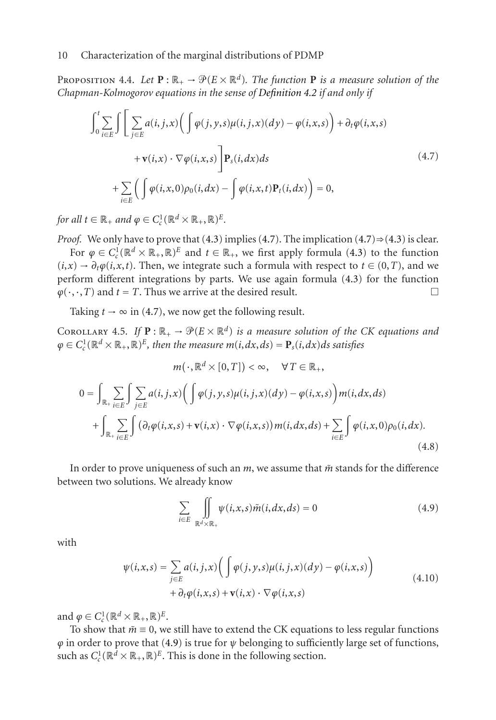PROPOSITION 4.4. Let  $\mathbf{P} : \mathbb{R}_+ \to \mathcal{P}(E \times \mathbb{R}^d)$ . The function  $\mathbf{P}$  is a measure solution of the *Chapman-Kolmogorov equations in the sense of Definition 4.2 if and only if*

<span id="page-9-0"></span>
$$
\int_{0}^{t} \sum_{i \in E} \int \left[ \sum_{j \in E} a(i, j, x) \left( \int \varphi(j, y, s) \mu(i, j, x) (dy) - \varphi(i, x, s) \right) + \partial_{t} \varphi(i, x, s) + \mathbf{v}(i, x) \cdot \nabla \varphi(i, x, s) \right] \mathbf{P}_{s}(i, dx) ds
$$
\n
$$
+ \sum_{i \in E} \left( \int \varphi(i, x, 0) \rho_{0}(i, dx) - \int \varphi(i, x, t) \mathbf{P}_{t}(i, dx) \right) = 0,
$$
\n(4.7)

<span id="page-9-3"></span>*for all*  $t \in \mathbb{R}_+$  *and*  $\varphi \in C_c^1(\mathbb{R}^d \times \mathbb{R}_+, \mathbb{R})^E$ *.* 

*Proof.* We only have to prove that  $(4.3)$  implies  $(4.7)$ . The implication  $(4.7) \Rightarrow (4.3)$  is clear. For  $\varphi \in C_c^1(\mathbb{R}^d \times \mathbb{R}_+, \mathbb{R})^E$  and  $t \in \mathbb{R}_+$ , we first apply formula (4.3) to the function  $(i, x) \rightarrow \partial_t \varphi(i, x, t)$ . Then, we integrate such a formula with respect to  $t \in (0, T)$ , and we perform different integrations by parts. We use again formula (4.3) for the function  $\varphi(\cdot,\cdot,T)$  and  $t = T$ . Thus we arrive at the desired result.  $\Box$ 

Taking  $t \to \infty$  in (4.7), we now get the following result.

COROLLARY 4.5. If  $\mathbf{P} : \mathbb{R}_+ \to \mathcal{P}(E \times \mathbb{R}^d)$  is a measure solution of the CK equations and  $\varphi \in C_c^1(\mathbb{R}^d \times \mathbb{R}_+, \mathbb{R})^E$ , then the measure  $m(i, dx, ds) = \mathbf{P}_s(i, dx)ds$  satisfies

$$
m(\cdot, \mathbb{R}^d \times [0, T]) < \infty, \quad \forall T \in \mathbb{R}_+,
$$
\n
$$
0 = \int_{\mathbb{R}_+} \sum_{i \in E} \int \sum_{j \in E} a(i, j, x) \Big( \int \varphi(j, y, s) \mu(i, j, x) (dy) - \varphi(i, x, s) \Big) m(i, dx, ds)
$$
\n
$$
+ \int_{\mathbb{R}_+} \sum_{i \in E} \int \big( \partial_t \varphi(i, x, s) + \mathbf{v}(i, x) \cdot \nabla \varphi(i, x, s) \big) m(i, dx, ds) + \sum_{i \in E} \int \varphi(i, x, 0) \rho_0(i, dx). \tag{4.8}
$$

In order to prove uniqueness of such an  $m$ , we assume that  $\tilde{m}$  stands for the difference between two solutions. We already know

<span id="page-9-2"></span><span id="page-9-1"></span>
$$
\sum_{i \in E} \iint\limits_{\mathbb{R}^d \times \mathbb{R}_+} \psi(i, x, s) \tilde{m}(i, dx, ds) = 0
$$
\n(4.9)

with

$$
\psi(i,x,s) = \sum_{j \in E} a(i,j,x) \bigg( \int \varphi(j,y,s) \mu(i,j,x) (dy) - \varphi(i,x,s) \bigg) + \partial_t \varphi(i,x,s) + \mathbf{v}(i,x) \cdot \nabla \varphi(i,x,s)
$$
\n(4.10)

and  $\varphi \in C_c^1(\mathbb{R}^d \times \mathbb{R}_+, \mathbb{R})^E$ .

To show that  $\tilde{m} \equiv 0$ , we still have to extend the CK equations to less regular functions *ϕ* in order to prove that (4.9) is true for *ψ* belonging to sufficiently large set of functions, such as  $C_c^1(\mathbb{R}^d \times \mathbb{R}_+, \mathbb{R})^E$ . This is done in the following section.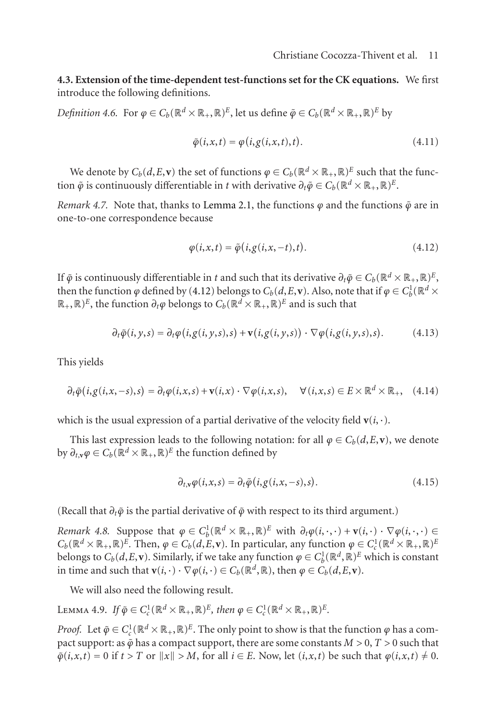<span id="page-10-1"></span>**4.3. Extension of the time-depen[dent test-fu](#page-2-0)nctions set for the CK equations.** We first introduce the following definitions.

*Definition 4.6.* For  $\varphi \in C_b(\mathbb{R}^d \times \mathbb{R}_+, \mathbb{R})^E$ , let us define  $\tilde{\varphi} \in C_b(\mathbb{R}^d \times \mathbb{R}_+, \mathbb{R})^E$  by

<span id="page-10-0"></span>
$$
\tilde{\varphi}(i, x, t) = \varphi(i, g(i, x, t), t).
$$
\n(4.11)

We denote by  $C_b(d, E, \mathbf{v})$  the [set o](#page-10-0)f functions  $\varphi \in C_b(\mathbb{R}^d \times \mathbb{R}_+, \mathbb{R})^E$  such that the function  $\tilde{\varphi}$  is continuously differentiable in *t* with derivative  $\partial_t \tilde{\varphi} \in C_b(\mathbb{R}^d \times \mathbb{R}_+, \mathbb{R})^E$ .

*Remark 4.7.* Note that, thanks to Lemma 2.1, the functions  $\varphi$  and the functions  $\tilde{\varphi}$  are in one-to-one correspondence because

$$
\varphi(i, x, t) = \tilde{\varphi}(i, g(i, x, -t), t).
$$
\n(4.12)

If  $\tilde{\varphi}$  is continuously differentiable in *t* and such that its derivative  $\partial_t \tilde{\varphi} \in C_b(\mathbb{R}^d \times \mathbb{R}_+, \mathbb{R})^E$ , then the function  $\varphi$  defined by (4.12) belongs to  $C_b(d,E,\mathbf{v})$ . Also, note that if  $\varphi \in C^1_b(\mathbb{R}^d \times$  $\mathbb{R}_+$ ,  $\mathbb{R}$ )<sup>E</sup>, the function  $\partial_t \varphi$  belongs to  $C_b(\mathbb{R}^d \times \mathbb{R}_+, \mathbb{R})^E$  and is such that

$$
\partial_t \tilde{\varphi}(i, y, s) = \partial_t \varphi(i, g(i, y, s), s) + \mathbf{v}(i, g(i, y, s)) \cdot \nabla \varphi(i, g(i, y, s), s).
$$
(4.13)

This yields

$$
\partial_t \tilde{\varphi}(i,g(i,x,-s),s) = \partial_t \varphi(i,x,s) + \mathbf{v}(i,x) \cdot \nabla \varphi(i,x,s), \quad \forall (i,x,s) \in E \times \mathbb{R}^d \times \mathbb{R}_+, \quad (4.14)
$$

which is the usual expression of a partial derivative of the velocity field  $\mathbf{v}(i, \cdot)$ .

This last expression leads to the following notation: for all  $\varphi \in C_b(d, E, \mathbf{v})$ , we denote by  $\partial_{t,\mathbf{v}}\varphi \in C_b(\mathbb{R}^d \times \mathbb{R}_+, \mathbb{R})^E$  the function defined by

$$
\partial_{t,\mathbf{v}}\varphi(i,x,s)=\partial_t\tilde{\varphi}(i,g(i,x,-s),s).
$$
\n(4.15)

(Recall that *∂tϕ*˜ is the partial derivative of *ϕ*˜ with respect to its third argument.)

*Remark 4.8.* Suppose that  $\varphi \in C_b^1(\mathbb{R}^d \times \mathbb{R}_+, \mathbb{R})^E$  with  $\partial_t \varphi(i, \cdot, \cdot) + \mathbf{v}(i, \cdot) \cdot \nabla \varphi(i, \cdot, \cdot) \in$  $C_b(\mathbb{R}^d \times \mathbb{R}_+, \mathbb{R})^E$ . Then,  $\varphi \in C_b(d, E, \mathbf{v})$ . In particular, any function  $\varphi \in C_c^1(\mathbb{R}^d \times \mathbb{R}_+, \mathbb{R})^E$ belongs to  $C_b(d, E, \mathbf{v})$ . Similarly, if we take any function  $\varphi \in C_b^1(\mathbb{R}^d, \mathbb{R})^E$  which is constant in time and such that  $\mathbf{v}(i, \cdot) \cdot \nabla \varphi(i, \cdot) \in C_b(\mathbb{R}^d, \mathbb{R})$ , then  $\varphi \in C_b(d, E, \mathbf{v})$ .

We will also need the following result.

LEMMA 4.9. *If*  $\tilde{\varphi} \in C_c^1(\mathbb{R}^d \times \mathbb{R}_+, \mathbb{R})^E$ , then  $\varphi \in C_c^1(\mathbb{R}^d \times \mathbb{R}_+, \mathbb{R})^E$ .

*Proof.* Let  $\tilde{\varphi} \in C_c^1(\mathbb{R}^d \times \mathbb{R}_+, \mathbb{R})^E$ . The only point to show is that the function  $\varphi$  has a compact support: as  $\tilde{\varphi}$  has a compact support, there are some constants  $M > 0$ ,  $T > 0$  such that  $\tilde{\varphi}(i, x, t) = 0$  if  $t > T$  or  $||x|| > M$ , for all  $i \in E$ . Now, let  $(i, x, t)$  be such that  $\varphi(i, x, t) \neq 0$ .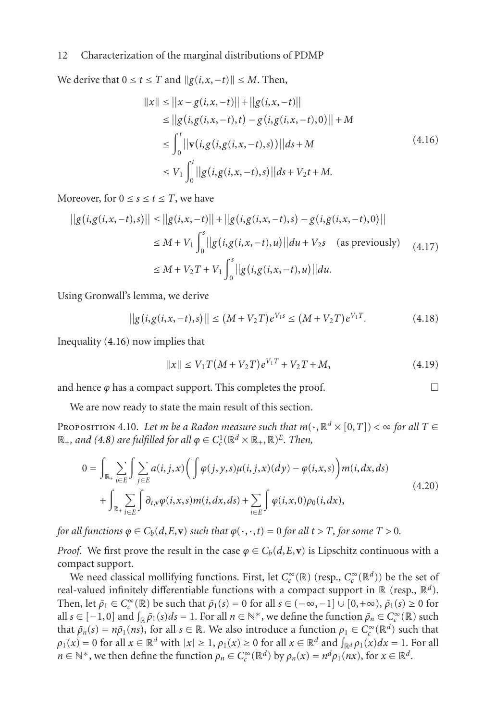We derive that  $0 \le t \le T$  and  $||g(i, x, -t)|| \le M$ . Then,

<span id="page-11-0"></span>
$$
||x|| \le ||x - g(i, x, -t)|| + ||g(i, x, -t)||
$$
  
\n
$$
\le ||g(i, g(i, x, -t), t) - g(i, g(i, x, -t), 0)|| + M
$$
  
\n
$$
\le \int_0^t ||v(i, g(i, g(i, x, -t), s))|| ds + M
$$
  
\n
$$
\le V_1 \int_0^t ||g(i, g(i, x, -t), s)|| ds + V_2 t + M.
$$
\n(4.16)

Moreover, for  $0 \le s \le t \le T$ , we have

$$
||g(i, g(i, x, -t), s)|| \le ||g(i, x, -t)|| + ||g(i, g(i, x, -t), s) - g(i, g(i, x, -t), 0)||
$$
  
\n
$$
\le M + V_1 \int_0^s ||g(i, g(i, x, -t), u)|| du + V_2 s \quad \text{(as previously)}
$$
  
\n
$$
\le M + V_2 T + V_1 \int_0^s ||g(i, g(i, x, -t), u)|| du.
$$
\n(4.17)

<span id="page-11-2"></span>Using Gronwall's lemma, we derive

$$
||g(i, g(i, x, -t), s)|| \le (M + V_2 T)e^{V_1 s} \le (M + V_2 T)e^{V_1 T}.
$$
 (4.18)

Inequality (4.16) now implies that

<span id="page-11-1"></span>
$$
||x|| \le V_1 T(M + V_2 T)e^{V_1 T} + V_2 T + M,
$$
\n(4.19)

and hence  $\varphi$  has a compact support. This completes the proof.  $\Box$ 

We are now ready to state the main result of this section.

PROPOSITION 4.10. *Let m be a Radon measure such that*  $m(\cdot, \mathbb{R}^d \times [0, T]) < \infty$  *for all*  $T \in$  $\mathbb{R}_+$ , and (4.8) are fulfilled for all  $\varphi \in C_c^1(\mathbb{R}^d \times \mathbb{R}_+, \mathbb{R})^E$ *. Then*,

$$
0 = \int_{\mathbb{R}_+} \sum_{i \in E} \int \sum_{j \in E} a(i, j, x) \Big( \int \varphi(j, y, s) \mu(i, j, x) (dy) - \varphi(i, x, s) \Big) m(i, dx, ds)
$$
  
+ 
$$
\int_{\mathbb{R}_+} \sum_{i \in E} \int \partial_{t, y} \varphi(i, x, s) m(i, dx, ds) + \sum_{i \in E} \int \varphi(i, x, 0) \rho_0(i, dx),
$$
 (4.20)

*for all functions*  $\varphi \in C_b(d, E, \mathbf{v})$  *such that*  $\varphi(\cdot, \cdot, t) = 0$  *for all*  $t > T$ *, for some*  $T > 0$ *.* 

*Proof.* We first prove the result in the case  $\varphi \in C_b(d, E, \mathbf{v})$  is Lipschitz continuous with a compact support.

We need classical mollifying functions. First, let  $C_c^{\infty}(\mathbb{R})$  (resp.,  $C_c^{\infty}(\mathbb{R}^d)$ ) be the set of real-valued infinitely differentiable functions with a compact support in R (resp., R*d*). Then, let  $\bar{\rho}_1 \in C_c^{\infty}(\mathbb{R})$  be such that  $\bar{\rho}_1(s) = 0$  for all  $s \in (-\infty, -1] \cup [0, +\infty)$ ,  $\bar{\rho}_1(s) \ge 0$  for all  $s \in [-1,0]$  and  $\int_{\mathbb{R}} \bar{\rho}_1(s) ds = 1$ . For all  $n \in \mathbb{N}^*$ , we define the function  $\bar{\rho}_n \in C_c^{\infty}(\mathbb{R})$  such that  $\bar{\rho}_n(s) = n\bar{\rho}_1(ns)$ , for all  $s \in \mathbb{R}$ . We also introduce a function  $\rho_1 \in C_c^{\infty}(\mathbb{R}^d)$  such that  $\rho_1(x) = 0$  for all  $x \in \mathbb{R}^d$  with  $|x| \ge 1$ ,  $\rho_1(x) \ge 0$  for all  $x \in \mathbb{R}^d$  and  $\int_{\mathbb{R}^d} \rho_1(x) dx = 1$ . For all *n* ∈  $\mathbb{N}^*$ , we then define the function  $\rho_n \in C_c^{\infty}(\mathbb{R}^d)$  by  $\rho_n(x) = n^d \rho_1(nx)$ , for  $x \in \mathbb{R}^d$ .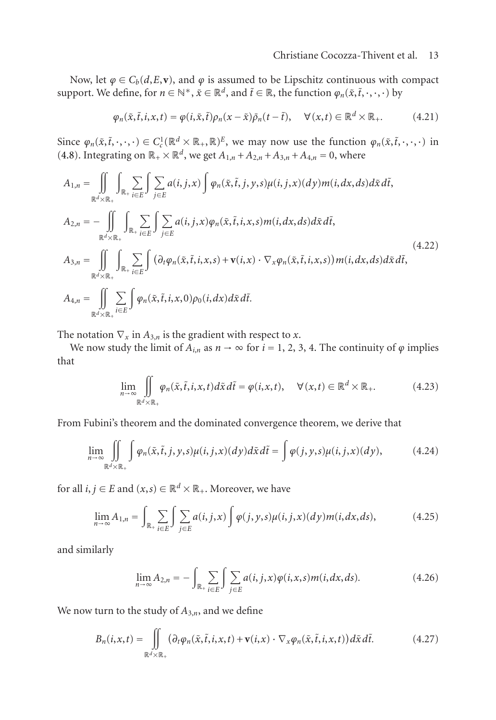Now, let  $\varphi \in C_b(d, E, \mathbf{v})$ , and  $\varphi$  is assumed to be Lipschitz continuous with compact support. We define, for  $n \in \mathbb{N}^*, \tilde{x} \in \mathbb{R}^d$ , and  $\tilde{t} \in \mathbb{R}$ , the function  $\varphi_n(\tilde{x}, \tilde{t}, \cdot, \cdot, \cdot)$  by

$$
\varphi_n(\tilde{x}, \tilde{t}, i, x, t) = \varphi(i, \tilde{x}, \tilde{t})\rho_n(x - \tilde{x})\bar{\rho}_n(t - \tilde{t}), \quad \forall (x, t) \in \mathbb{R}^d \times \mathbb{R}_+.
$$
 (4.21)

Since  $\varphi_n(\tilde{x}, \tilde{t}, \cdot, \cdot, \cdot) \in C_c^1(\mathbb{R}^d \times \mathbb{R}_+, \mathbb{R})^E$ , we may now use the function  $\varphi_n(\tilde{x}, \tilde{t}, \cdot, \cdot, \cdot)$  in (4.8). Integrating on  $\mathbb{R}_+ \times \mathbb{R}^d$ , we get  $A_{1,n} + A_{2,n} + A_{3,n} + A_{4,n} = 0$ , where

$$
A_{1,n} = \iint_{\mathbb{R}^d \times \mathbb{R}_+} \int_{\mathbb{R}_+} \sum_{i \in E} \int \sum_{j \in E} a(i,j,x) \int \varphi_n(\tilde{x}, \tilde{t}, j, y, s) \mu(i, j, x) (dy) m(i, dx, ds) d\tilde{x} d\tilde{t},
$$
  
\n
$$
A_{2,n} = - \iint_{\mathbb{R}^d \times \mathbb{R}_+} \int_{\mathbb{R}_+} \sum_{i \in E} \int \sum_{j \in E} a(i, j, x) \varphi_n(\tilde{x}, \tilde{t}, i, x, s) m(i, dx, ds) d\tilde{x} d\tilde{t},
$$
  
\n
$$
A_{3,n} = \iint_{\mathbb{R}^d \times \mathbb{R}_+} \int_{\mathbb{R}_+} \sum_{i \in E} \int (\partial_t \varphi_n(\tilde{x}, \tilde{t}, i, x, s) + \mathbf{v}(i, x) \cdot \nabla_x \varphi_n(\tilde{x}, \tilde{t}, i, x, s)) m(i, dx, ds) d\tilde{x} d\tilde{t},
$$
  
\n
$$
A_{4,n} = \iint_{\mathbb{R}^d \times \mathbb{R}_+} \sum_{i \in E} \int \varphi_n(\tilde{x}, \tilde{t}, i, x, 0) \rho_0(i, dx) d\tilde{x} d\tilde{t}.
$$
  
\n(4.22)

The notation  $\nabla_x$  in  $A_{3,n}$  is the gradient with respect to *x*.

We now study the limit of  $A_{i,n}$  as  $n \to \infty$  for  $i = 1, 2, 3, 4$ . The continuity of  $\varphi$  implies that

<span id="page-12-0"></span>
$$
\lim_{n \to \infty} \iint_{\mathbb{R}^d \times \mathbb{R}_+} \varphi_n(\tilde{x}, \tilde{t}, i, x, t) d\tilde{x} d\tilde{t} = \varphi(i, x, t), \quad \forall (x, t) \in \mathbb{R}^d \times \mathbb{R}_+.
$$
 (4.23)

From Fubini's theorem and the dominated convergence theorem, we derive that

$$
\lim_{n \to \infty} \iint\limits_{\mathbb{R}^d \times \mathbb{R}_+} \int \varphi_n(\tilde{x}, \tilde{t}, j, y, s) \mu(i, j, x) (dy) d\tilde{x} d\tilde{t} = \int \varphi(j, y, s) \mu(i, j, x) (dy),
$$
\n(4.24)

for all *i*, *j* ∈ *E* and  $(x, s)$  ∈  $\mathbb{R}^d$  ×  $\mathbb{R}_+$ . Moreover, we have

$$
\lim_{n\to\infty} A_{1,n} = \int_{\mathbb{R}_+} \sum_{i\in E} \int \sum_{j\in E} a(i,j,x) \int \varphi(j,y,s) \mu(i,j,x) (dy) m(i,dx,ds), \tag{4.25}
$$

and similarly

$$
\lim_{n\to\infty} A_{2,n} = -\int_{\mathbb{R}_+} \sum_{i\in E} \int \sum_{j\in E} a(i,j,x) \varphi(i,x,s) m(i,dx,ds).
$$
 (4.26)

We now turn to the study of *A*3,*n*, and we define

$$
B_n(i, x, t) = \iint\limits_{\mathbb{R}^d \times \mathbb{R}_+} (\partial_t \varphi_n(\tilde{x}, \tilde{t}, i, x, t) + \mathbf{v}(i, x) \cdot \nabla_x \varphi_n(\tilde{x}, \tilde{t}, i, x, t)) d\tilde{x} d\tilde{t}.
$$
 (4.27)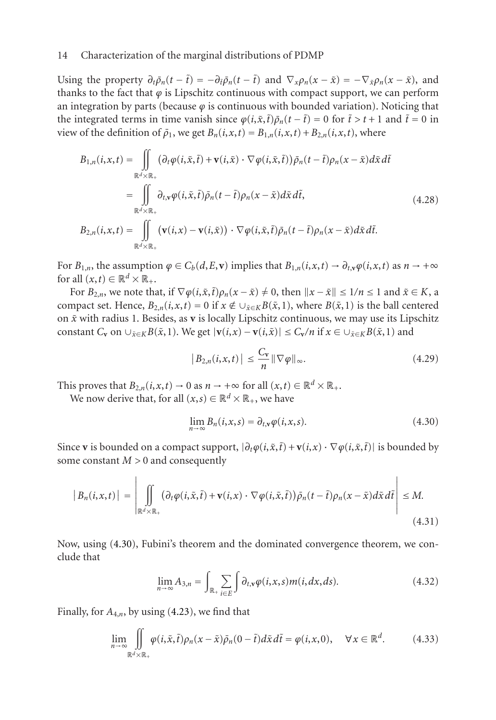Using the property  $\partial_t \bar{\rho}_n(t - \tilde{t}) = -\partial_t \bar{\rho}_n(t - \tilde{t})$  and  $\nabla_x \rho_n(x - \tilde{x}) = -\nabla_{\tilde{x}} \rho_n(x - \tilde{x})$ , and thanks to the fact that  $\varphi$  is Lipschitz continuous with compact support, we can perform an integration by parts (because  $\varphi$  is continuous with bounded variation). Noticing that the integrated terms in time vanish since  $\varphi(i,\tilde{x},\tilde{t})\bar{\rho}_n(t-\tilde{t}) = 0$  for  $\tilde{t} > t + 1$  and  $\tilde{t} = 0$  in view of the definition of  $\bar{\rho}_1$ , we get  $B_n(i, x, t) = B_{1,n}(i, x, t) + B_{2,n}(i, x, t)$ , where

$$
B_{1,n}(i,x,t) = \iint\limits_{\mathbb{R}^d \times \mathbb{R}_+} (\partial_t \varphi(i,\tilde{x},\tilde{t}) + \mathbf{v}(i,\tilde{x}) \cdot \nabla \varphi(i,\tilde{x},\tilde{t})) \bar{\rho}_n(t-\tilde{t}) \rho_n(x-\tilde{x}) d\tilde{x} d\tilde{t}
$$
  
\n
$$
= \iint\limits_{\mathbb{R}^d \times \mathbb{R}_+} \partial_{t,x} \varphi(i,\tilde{x},\tilde{t}) \bar{\rho}_n(t-\tilde{t}) \rho_n(x-\tilde{x}) d\tilde{x} d\tilde{t},
$$
  
\n
$$
B_{2,n}(i,x,t) = \iint\limits_{\mathbb{R}^d \times \mathbb{R}_+} (\mathbf{v}(i,x) - \mathbf{v}(i,\tilde{x})) \cdot \nabla \varphi(i,\tilde{x},\tilde{t}) \bar{\rho}_n(t-\tilde{t}) \rho_n(x-\tilde{x}) d\tilde{x} d\tilde{t}.
$$
  
\n(4.28)

For  $B_{1,n}$ , the assumption  $\varphi \in C_b(d, E, \mathbf{v})$  implies that  $B_{1,n}(i, x, t) \to \partial_{t, \mathbf{v}} \varphi(i, x, t)$  as  $n \to +\infty$ for all  $(x,t) \in \mathbb{R}^d \times \mathbb{R}_+$ .

For  $B_{2,n}$ , we note that, if  $\nabla \varphi(i, \tilde{x}, \tilde{t}) \rho_n(x - \tilde{x}) \neq 0$ , then  $||x - \tilde{x}|| \leq 1/n \leq 1$  and  $\tilde{x} \in K$ , a compact set. Hence,  $B_{2,n}(i, x, t) = 0$  if  $x \notin \bigcup_{\tilde{x} \in K} B(\tilde{x}, 1)$ , where  $B(\tilde{x}, 1)$  is the ball centered on *x*˜ with radius 1. Besides, as **v** is locally Lipschitz continuous, we may use its Lipschitz constant  $C_v$  on  $\cup_{\tilde{x}\in K}B(\tilde{x},1)$ . We get  $|\mathbf{v}(i,x)-\mathbf{v}(i,\tilde{x})|\leq C_v/n$  if  $x\in\cup_{\tilde{x}\in K}B(\tilde{x},1)$  and

$$
\left|B_{2,n}(i,x,t)\right| \leq \frac{C_{\mathbf{v}}}{n} \|\nabla \varphi\|_{\infty}.
$$
 (4.29)

This proves that  $B_{2,n}(i, x, t) \to 0$  as  $n \to +\infty$  for all  $(x, t) \in \mathbb{R}^d \times \mathbb{R}_+$ .

We now derive that, for all  $(x, s) \in \mathbb{R}^d \times \mathbb{R}_+$ , we have

$$
\lim_{n \to \infty} B_n(i, x, s) = \partial_{t, v} \varphi(i, x, s).
$$
\n(4.30)

Since **v** is bounded on a compact support,  $|\partial_t \varphi(i, \tilde{x}, \tilde{t}) + \mathbf{v}(i, x) \cdot \nabla \varphi(i, \tilde{x}, \tilde{t})|$  is bounded by some constant  $M > 0$  and consequently

$$
|B_n(i,x,t)| = \left| \iint\limits_{\mathbb{R}^d \times \mathbb{R}_+} (\partial_t \varphi(i,\tilde{x},\tilde{t}) + \mathbf{v}(i,x) \cdot \nabla \varphi(i,\tilde{x},\tilde{t})) \bar{\rho}_n(t-\tilde{t}) \rho_n(x-\tilde{x}) d\tilde{x} d\tilde{t} \right| \le M.
$$
\n(4.31)

Now, using (4.30), Fubini's theorem and the dominated convergence theorem, we conclude that

$$
\lim_{n \to \infty} A_{3,n} = \int_{\mathbb{R}_+} \sum_{i \in E} \int \partial_{t,v} \varphi(i,x,s) m(i,dx,ds). \tag{4.32}
$$

Finally, for  $A_{4,n}$ , by using (4.23), we find that

$$
\lim_{n \to \infty} \iint_{\mathbb{R}^d \times \mathbb{R}_+} \varphi(i, \tilde{x}, \tilde{t}) \rho_n(x - \tilde{x}) \bar{\rho}_n(0 - \tilde{t}) d\tilde{x} d\tilde{t} = \varphi(i, x, 0), \quad \forall x \in \mathbb{R}^d.
$$
 (4.33)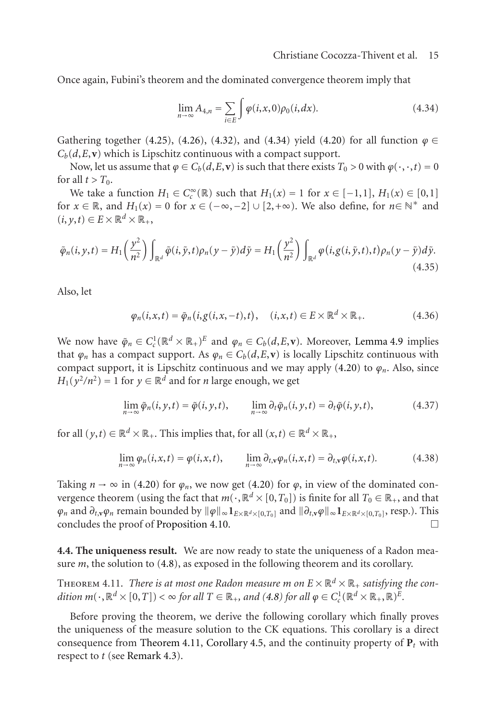Once again, Fubini's theorem and the dominated convergence theorem imply that

$$
\lim_{n \to \infty} A_{4,n} = \sum_{i \in E} \int \varphi(i, x, 0) \rho_0(i, dx).
$$
 (4.34)

Gathering together (4.25), (4.26), (4.32), and (4.34) yield (4.20) for all function  $\varphi \in$  $C_b(d, E, \mathbf{v})$  which is Lipschitz continuous with a compact support.

Now, let us assume that  $\varphi \in C_b(d, E, \mathbf{v})$  is such that there exists  $T_0 > 0$  with  $\varphi(\cdot, \cdot, t) = 0$ for all  $t > T_0$ .

We take a function  $H_1 \in C_c^{\infty}(\mathbb{R})$  such that  $H_1(x) = 1$  for  $x \in [-1,1]$ ,  $H_1(x) \in [0,1]$ for  $x \in \mathbb{R}$ , and  $H_1(x) = 0$  for  $x \in (-\infty, -2] \cup [2, +\infty)$ . We also define, for  $n \in \mathbb{N}^*$  and  $(i, y, t) \in E \times \mathbb{R}^d \times \mathbb{R}_+,$ 

$$
\tilde{\varphi}_n(i, y, t) = H_1\left(\frac{y^2}{n^2}\right) \int_{\mathbb{R}^d} \tilde{\varphi}(i, \tilde{y}, t) \rho_n(y - \tilde{y}) d\tilde{y} = H_1\left(\frac{y^2}{n^2}\right) \int_{\mathbb{R}^d} \varphi(i, g(i, \tilde{y}, t), t) \rho_n(y - \tilde{y}) d\tilde{y}.
$$
\n(4.35)

Also, let

$$
\varphi_n(i, x, t) = \tilde{\varphi}_n(i, g(i, x, -t), t), \quad (i, x, t) \in E \times \mathbb{R}^d \times \mathbb{R}_+.
$$
 (4.36)

We now have  $\tilde{\varphi}_n \in C_c^1(\mathbb{R}^d \times \mathbb{R}_+)^E$  and  $\varphi_n \in C_b(d,E,v)$ . Moreover, Lemma 4.9 implies that  $\varphi_n$  has a compact support. As  $\varphi_n \in C_b(d, E, \mathbf{v})$  is locally Lipschitz continuous with compact support, [it is](#page-11-1) Lipschitz continuous [and w](#page-11-1)e may apply  $(4.20)$  to  $\varphi_n$ . Also, since  $H_1(y^2/n^2) = 1$  for  $y \in \mathbb{R}^d$  and for *n* large enough, we get

$$
\lim_{n \to \infty} \tilde{\varphi}_n(i, y, t) = \tilde{\varphi}(i, y, t), \qquad \lim_{n \to \infty} \partial_t \tilde{\varphi}_n(i, y, t) = \partial_t \tilde{\varphi}(i, y, t), \tag{4.37}
$$

<span id="page-14-0"></span>for all  $(y,t) \in \mathbb{R}^d \times \mathbb{R}_+$ . This implies that, for all  $(x,t) \in \mathbb{R}^d \times \mathbb{R}_+$ ,

$$
\lim_{n \to \infty} \varphi_n(i, x, t) = \varphi(i, x, t), \qquad \lim_{n \to \infty} \partial_{t, v} \varphi_n(i, x, t) = \partial_{t, v} \varphi(i, x, t). \tag{4.38}
$$

Taking  $n \to \infty$  $n \to \infty$  $n \to \infty$  in (4.2[0\)](#page-9-2) for  $\varphi_n$ , we now get (4.20) for  $\varphi$ , in view of the dominated convergence theorem (using the fact that  $m(\cdot,\mathbb{R}^d \times [0,T_0])$  is finite for all  $T_0 \in \mathbb{R}_+$ , and that *ϕn* and *∂t*,**v***ϕn* remain bounded by *ϕ* <sup>∞</sup>**1***E*×R*d*×[0,*T*0] and *∂t*,**v***ϕ* <sup>∞</sup>**1***E*×R*d*×[0,*T*0], resp.). This concludes the proof of [Propositio](#page-14-0)[n 4.10.](#page-9-3)  $\Box$ 

**4.4. The uniqueness result.** We are now ready to state the uniqueness of a Radon measure *m*, the solution to (4.8), as exposed in the following theorem and its corollary.

THEOREM 4.11. *There is at most one Radon measure m on*  $E \times \mathbb{R}^d \times \mathbb{R}_+$  *satisfying the condition*  $m(\cdot, \mathbb{R}^d \times [0, T]) < \infty$  for all  $T \in \mathbb{R}_+$ , and (4.8) for all  $\varphi \in C_c^1(\mathbb{R}^d \times \mathbb{R}_+, \mathbb{R})^E$ .

Before proving the theorem, we derive the following corollary which finally proves the uniqueness of the measure solution to the CK equations. This corollary is a direct consequence from Theorem 4.11, Corollary 4.5, and the continuity property of  $P_t$  with respect to *t* (see Remark 4.3).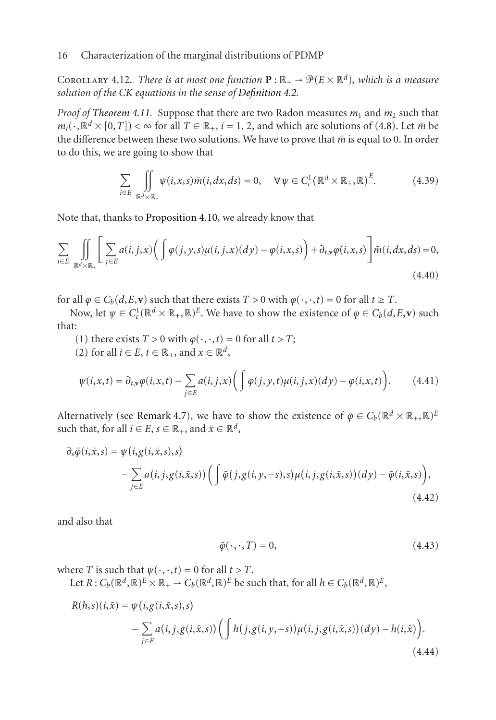COROLLARY 4.12. *There is at most one function*  $\mathbf{P} : \mathbb{R}_+ \to \mathcal{P}(E \times \mathbb{R}^d)$ *, which is a measure solution of the CK eq[uations in the sens](#page-11-2)e of Definition 4.2.*

*Proof of Theorem 4.11.* Suppose that there are two Radon measures  $m_1$  and  $m_2$  such that  $m_i(\cdot, \mathbb{R}^d \times [0, T]) < \infty$  for all  $T \in \mathbb{R}_+, i = 1, 2$ , and which are solutions of (4.8). Let  $\tilde{m}$  be the difference between these two solutions. We have to prove that  $\tilde{m}$  is equal to 0. In order to do this, we are going to show that

$$
\sum_{i \in E} \iint_{\mathbb{R}^d \times \mathbb{R}_+} \psi(i, x, s) \tilde{m}(i, dx, ds) = 0, \quad \forall \, \psi \in C_c^1 \big( \mathbb{R}^d \times \mathbb{R}_+, \mathbb{R} \big)^E. \tag{4.39}
$$

Note that, thanks to Proposition 4.10, we already know that

$$
\sum_{i \in E} \iint_{\mathbb{R}^d \times \mathbb{R}_+} \left[ \sum_{j \in E} a(i, j, x) \left( \int \varphi(j, y, s) \mu(i, j, x) (dy) - \varphi(i, x, s) \right) + \partial_{t, v} \varphi(i, x, s) \right] \tilde{m}(i, dx, ds) = 0,
$$
\n(4.40)

for all  $\varphi \in C_b(d, E, \mathbf{v})$  such that there exists  $T > 0$  with  $\varphi(\cdot, \cdot, t) = 0$  for all  $t \geq T$ .

Now, let  $\psi \in C_c^1(\mathbb{R}^d \times \mathbb{R}_+, \mathbb{R})^E$ . We have to show the existence of  $\varphi \in C_b(d, E, \mathbf{v})$  such that:

- (1) there exists  $T > 0$  with  $\varphi(\cdot, \cdot, t) = 0$  for all  $t > T$ ;
- (2) for all  $i \in E$ ,  $t \in \mathbb{R}_+$ , and  $x \in \mathbb{R}^d$ ,

$$
\psi(i,x,t) = \partial_{t,v}\varphi(i,x,t) - \sum_{j\in E} a(i,j,x) \bigg( \int \varphi(j,y,t)\mu(i,j,x)(dy) - \varphi(i,x,t) \bigg). \tag{4.41}
$$

Alternatively (see Remark 4.7), we have to show the existence of  $\tilde{\varphi} \in C_b(\mathbb{R}^d \times \mathbb{R}_+, \mathbb{R})^E$ such that, for all  $i \in E$ ,  $s \in \mathbb{R}_+$ , and  $\tilde{x} \in \mathbb{R}^d$ ,

$$
\partial_s \tilde{\varphi}(i, \tilde{x}, s) = \psi(i, g(i, \tilde{x}, s), s)
$$
  
 
$$
- \sum_{j \in E} a(i, j, g(i, \tilde{x}, s)) \Big( \int \tilde{\varphi}(j, g(i, y, -s), s) \mu(i, j, g(i, \tilde{x}, s)) (dy) - \tilde{\varphi}(i, \tilde{x}, s) \Big),
$$
  
(4.42)

and also that

<span id="page-15-1"></span><span id="page-15-0"></span>
$$
\tilde{\varphi}(\cdot,\cdot,T) = 0,\tag{4.43}
$$

where *T* is such that  $\psi(\cdot, \cdot, t) = 0$  for all  $t > T$ .

Let  $R: C_b(\mathbb{R}^d, \mathbb{R})^E \times \mathbb{R}_+ \to C_b(\mathbb{R}^d, \mathbb{R})^E$  be such that, for all  $h \in C_b(\mathbb{R}^d, \mathbb{R})^E$ ,

$$
R(h,s)(i,\tilde{x}) = \psi(i,g(i,\tilde{x},s),s)
$$
  
 
$$
- \sum_{j\in E} a(i,j,g(i,\tilde{x},s)) \Big( \int h(j,g(i,y,-s)) \mu(i,j,g(i,\tilde{x},s)) (dy) - h(i,\tilde{x}) \Big).
$$
  
(4.44)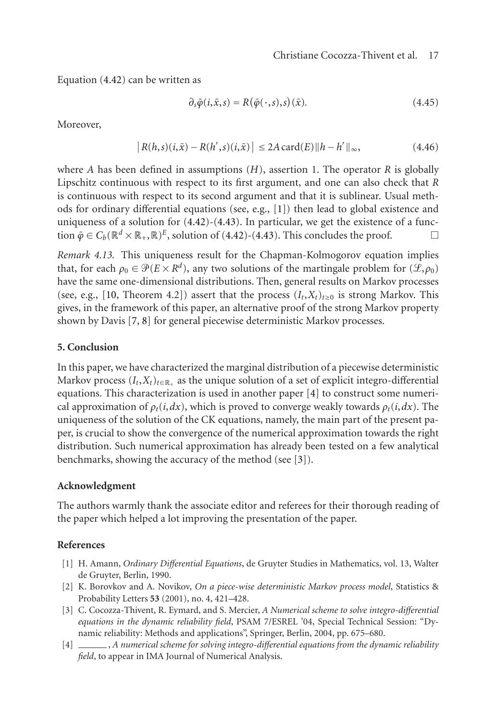Equation (4.42) can be written as

$$
\partial_s \tilde{\varphi}(i, \tilde{x}, s) = R(\tilde{\varphi}(\cdot, s), s)(\tilde{x}). \tag{4.45}
$$

Moreover,

$$
|R(h,s)(i,\tilde{x}) - R(h',s)(i,\tilde{x})| \le 2A \operatorname{card}(E) ||h - h'||_{\infty},
$$
 (4.46)

where *A* h[as b](#page-17-6)een defined in assumptions (*H*), assertion 1. The operator *R* is globally Lipschitz continuous with respect to its first argument, and one can also check that *R* is continuous wi[th](#page-17-7) [re](#page-17-5)spect to its second argument and that it is sublinear. Usual methods for ordinary differential equations (see, e.g., [1]) then lead to global existence and uniqueness of a solution for (4.42)-(4.43). In particular, we get the existence of a function  $\tilde{\varphi} \in C_b(\mathbb{R}^d \times \mathbb{R}_+, \mathbb{R})^E$ , solution of (4.42)-(4.43). This concludes the proof.  $\Box$ 

*Remark 4.13.* This uniqueness result for the Chapman-Kolmogorov equation implies that, for each  $\rho_0 \in \mathcal{P}(E \times R^d)$  $\rho_0 \in \mathcal{P}(E \times R^d)$  $\rho_0 \in \mathcal{P}(E \times R^d)$ , any two solutions of the martingale problem for  $(\mathcal{L}, \rho_0)$ have the same one-dimensional distributions. Then, general results on Markov processes (see, e.g., [10, Theorem 4.2]) assert that the process  $(I_t, X_t)_{t>0}$  is strong Markov. This gives, in the framework of this paper, an alternative proof of the strong Markov property shown by Davis [7, 8] for general piecewise deterministic Markov processes.

#### **5. Conclusion**

In this paper, we have characterized the marginal distribution of a piecewise deterministic Markov process  $(I_t, X_t)_{t \in \mathbb{R}_+}$  as the unique solution of a set of explicit integro-differential equations. This characterization is used in another paper [4] to construct some numerical approximation of  $\rho_t(i, dx)$ , which is proved to converge weakly towards  $\rho_t(i, dx)$ . The uniqueness of the solution of the CK equations, namely, the main part of the present paper, is crucial to show the convergence of the numerical approximation towards the right distribution. Such numerical approximation has already been tested on a few analytical benchmarks, showing the accuracy of the method (see [3]).

#### <span id="page-16-3"></span><span id="page-16-1"></span><span id="page-16-0"></span>**Acknowledgment**

The authors warmly thank the associate editor and referees for their thorough reading of the paper which helped a lot improving the presentation of the paper.

# <span id="page-16-2"></span>**References**

- [1] H. Amann, *Ordinary Differential Equations*, de Gruyter Studies in Mathematics, vol. 13, Walter de Gruyter, Berlin, 1990.
- [2] K. Borovkov and A. Novikov, *On a piece-wise deterministic Markov process model*, Statistics & Probability Letters **53** (2001), no. 4, 421–428.
- [3] C. Cocozza-Thivent, R. Eymard, and S. Mercier, *A Numerical scheme to solve integro-differential equations in the dynamic reliability field*, PSAM 7/ESREL '04, Special Technical Session: "Dynamic reliability: Methods and applications", Springer, Berlin, 2004, pp. 675–680.
- [4] , *A numerical scheme for solving integro-differential equations from the dynamic reliability field*, to appear in IMA Journal of Numerical Analysis.